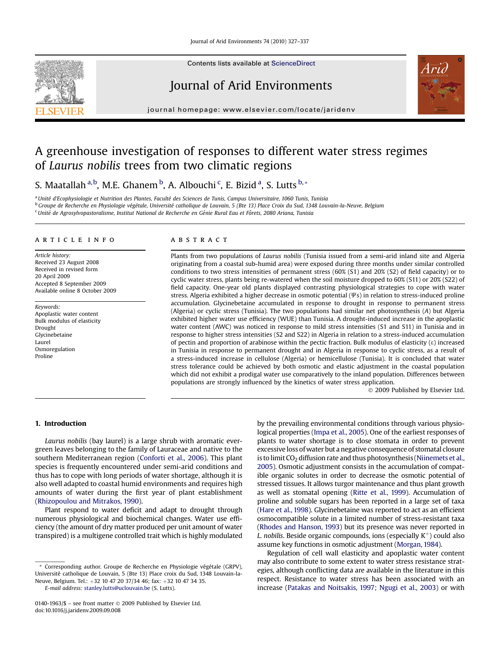

Contents lists available at [ScienceDirect](www.sciencedirect.com/science/journal/01401963)

# Journal of Arid Environments



journal homepage: [www.elsevier.com/locate/jaridenv](http://www.elsevier.com/locate/jaridenv)

# A greenhouse investigation of responses to different water stress regimes of Laurus nobilis trees from two climatic regions

S. Maatallah <sup>a,b</sup>, M.E. Ghanem <sup>b</sup>, A. Albouchi <sup>c</sup>, E. Bizid <sup>a</sup>, S. Lutts <sup>b,</sup>\*

<sup>a</sup> Unité d'Ecophysiologie et Nutrition des Plantes, Faculté des Sciences de Tunis, Campus Universitaire, 1060 Tunis, Tunisia <sup>b</sup> Groupe de Recherche en Physiologie végétale, Université catholique de Louvain, 5 (Bte 13) Place Croix du Sud, 1348 Louvain-la-Neuve, Belgium <sup>c</sup>Unité de Agrosylvopastoralisme, Institut National de Recherche en Génie Rural Eau et Fôrets, 2080 Ariana, Tunisia

#### article info

Article history: Received 23 August 2008 Received in revised form 20 April 2009 Accepted 8 September 2009 Available online 8 October 2009

Keywords: Apoplastic water content Bulk modulus of elasticity Drought Glycinebetaine Laurel Osmoregulation Proline

## **ABSTRACT**

Plants from two populations of Laurus nobilis (Tunisia issued from a semi-arid inland site and Algeria originating from a coastal sub-humid area) were exposed during three months under similar controlled conditions to two stress intensities of permanent stress (60% (S1) and 20% (S2) of field capacity) or to cyclic water stress, plants being re-watered when the soil moisture dropped to 60% (S11) or 20% (S22) of field capacity. One-year old plants displayed contrasting physiological strategies to cope with water stress. Algeria exhibited a higher decrease in osmotic potential  $(\Psi s)$  in relation to stress-induced proline accumulation. Glycinebetaine accumulated in response to drought in response to permanent stress (Algeria) or cyclic stress (Tunisia). The two populations had similar net photosynthesis (A) but Algeria exhibited higher water use efficiency (WUE) than Tunisia. A drought-induced increase in the apoplastic water content (AWC) was noticed in response to mild stress intensities (S1 and S11) in Tunisia and in response to higher stress intensities (S2 and S22) in Algeria in relation to a stress-induced accumulation of pectin and proportion of arabinose within the pectic fraction. Bulk modulus of elasticity  $(\epsilon)$  increased in Tunisia in response to permanent drought and in Algeria in response to cyclic stress, as a result of a stress-induced increase in cellulose (Algeria) or hemicellulose (Tunisia). It is concluded that water stress tolerance could be achieved by both osmotic and elastic adjustment in the coastal population which did not exhibit a prodigal water use comparatively to the inland population. Differences between populations are strongly influenced by the kinetics of water stress application.

- 2009 Published by Elsevier Ltd.

# 1. Introduction

Laurus nobilis (bay laurel) is a large shrub with aromatic evergreen leaves belonging to the family of Lauraceae and native to the southern Mediterranean region [\(Conforti et al., 2006\)](#page-9-0). This plant species is frequently encountered under semi-arid conditions and thus has to cope with long periods of water shortage, although it is also well adapted to coastal humid environments and requires high amounts of water during the first year of plant establishment ([Rhizopoulou and Mitrakos, 1990](#page-10-0)).

Plant respond to water deficit and adapt to drought through numerous physiological and biochemical changes. Water use efficiency (the amount of dry matter produced per unit amount of water transpired) is a multigene controlled trait which is highly modulated

E-mail address: [stanley.lutts@uclouvain.be](mailto:stanley.lutts@uclouvain.be) (S. Lutts).

by the prevailing environmental conditions through various physiological properties [\(Impa et al., 2005](#page-9-0)). One of the earliest responses of plants to water shortage is to close stomata in order to prevent excessive loss ofwater but a negative consequence of stomatal closure is to limit  $CO<sub>2</sub>$  diffusion rate and thus photosynthesis ([Niinemets et al.,](#page-10-0) [2005](#page-10-0)). Osmotic adjustment consists in the accumulation of compatible organic solutes in order to decrease the osmotic potential of stressed tissues. It allows turgor maintenance and thus plant growth as well as stomatal opening ([Ritte et al., 1999](#page-10-0)). Accumulation of proline and soluble sugars has been reported in a large set of taxa [\(Hare et al., 1998\)](#page-9-0). Glycinebetaine was reported to act as an efficient osmocompatible solute in a limited number of stress-resistant taxa [\(Rhodes and Hanson, 1993](#page-10-0)) but its presence was never reported in L. nobilis. Beside organic compounds, ions (especially  $K^+$ ) could also assume key functions in osmotic adjustment ([Morgan, 1984\)](#page-9-0).

Regulation of cell wall elasticity and apoplastic water content may also contribute to some extent to water stress resistance strategies, although conflicting data are available in the literature in this respect. Resistance to water stress has been associated with an increase [\(Patakas and Noitsakis, 1997; Ngugi et al., 2003\)](#page-10-0) or with

Corresponding author. Groupe de Recherche en Physiologie végétale (GRPV), Université catholique de Louvain, 5 (Bte 13) Place croix du Sud, 1348 Louvain-la-Neuve, Belgium. Tel.: +32 10 47 20 37/34 46; fax: +32 10 47 34 35.

<sup>0140-1963/\$ –</sup> see front matter © 2009 Published by Elsevier Ltd. doi:10.1016/j.jaridenv.2009.09.008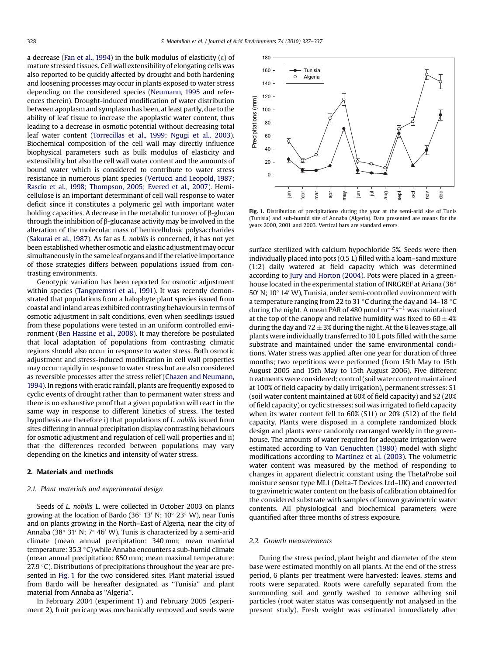<span id="page-1-0"></span>a decrease ([Fan et al., 1994\)](#page-9-0) in the bulk modulus of elasticity  $(\epsilon)$  of mature stressed tissues. Cell wall extensibility of elongating cells was also reported to be quickly affected by drought and both hardening and loosening processes may occur in plants exposed to water stress depending on the considered species [\(Neumann, 1995](#page-10-0) and references therein). Drought-induced modification of water distribution between apoplasm and symplasm has been, at least partly, due to the ability of leaf tissue to increase the apoplastic water content, thus leading to a decrease in osmotic potential without decreasing total leaf water content ([Torrecillas et al., 1999; Ngugi et al., 2003\)](#page-10-0). Biochemical composition of the cell wall may directly influence biophysical parameters such as bulk modulus of elasticity and extensibility but also the cell wall water content and the amounts of bound water which is considered to contribute to water stress resistance in numerous plant species ([Vertucci and Leopold, 1987;](#page-10-0) [Rascio et al., 1998; Thompson, 2005; Evered et al., 2007\)](#page-10-0). Hemicellulose is an important determinant of cell wall response to water deficit since it constitutes a polymeric gel with important water holding capacities. A decrease in the metabolic turnover of  $\beta$ -glucan through the inhibition of  $\beta$ -glucanase activity may be involved in the alteration of the molecular mass of hemicellulosic polysaccharides ([Sakurai et al., 1987](#page-10-0)). As far as L. nobilis is concerned, it has not yet been established whether osmotic and elastic adjustment may occur simultaneously in the same leaf organs and if the relative importance of those strategies differs between populations issued from contrasting environments.

Genotypic variation has been reported for osmotic adjustment within species ([Tangpremsri et al., 1991\)](#page-10-0). It was recently demonstrated that populations from a halophyte plant species issued from coastal and inland areas exhibited contrasting behaviours in terms of osmotic adjustment in salt conditions, even when seedlings issued from these populations were tested in an uniform controlled environment [\(Ben Hassine et al., 2008](#page-9-0)). It may therefore be postulated that local adaptation of populations from contrasting climatic regions should also occur in response to water stress. Both osmotic adjustment and stress-induced modification in cell wall properties may occur rapidly in response to water stress but are also considered as reversible processes after the stress relief [\(Chazen and Neumann,](#page-9-0) [1994](#page-9-0)). In regions with eratic rainfall, plants are frequently exposed to cyclic events of drought rather than to permanent water stress and there is no exhaustive proof that a given population will react in the same way in response to different kinetics of stress. The tested hypothesis are therefore i) that populations of L. nobilis issued from sites differing in annual precipitation display contrasting behaviours for osmotic adjustment and regulation of cell wall properties and ii) that the differences recorded between populations may vary depending on the kinetics and intensity of water stress.

## 2. Materials and methods

### 2.1. Plant materials and experimental design

Seeds of L. nobilis L. were collected in October 2003 on plants growing at the location of Bardo (36 $^{\circ}$  13' N; 10 $^{\circ}$  23 $^{\circ}$  W), near Tunis and on plants growing in the North–East of Algeria, near the city of Annaba (38° 31' N; 7° 46' W). Tunis is characterized by a semi-arid climate (mean annual precipitation: 340 mm; mean maximal temperature: 35.3 °C) while Annaba encounters a sub-humid climate (mean annual precipitation: 850 mm; mean maximal temperature:  $27.9 \degree C$ ). Distributions of precipitations throughout the year are presented in Fig. 1 for the two considered sites. Plant material issued from Bardo will be hereafter designated as ''Tunisia'' and plant material from Annaba as ''Algeria''.

In February 2004 (experiment 1) and February 2005 (experiment 2), fruit pericarp was mechanically removed and seeds were



Fig. 1. Distribution of precipitations during the year at the semi-arid site of Tunis (Tunisia) and sub-humid site of Annaba (Algeria). Data presented are means for the years 2000, 2001 and 2003. Vertical bars are standard errors.

surface sterilized with calcium hypochloride 5%. Seeds were then individually placed into pots (0.5 L) filled with a loam–sand mixture (1:2) daily watered at field capacity which was determined according to [Jury and Horton \(2004\)](#page-9-0). Pots were placed in a greenhouse located in the experimental station of INRGREF at Ariana (36<sup>o</sup>  $50'$  N;  $10^{\circ}$  14' W), Tunisia, under semi-controlled environment with a temperature ranging from 22 to 31  $\,^{\circ}$ C during the day and 14-18  $\,^{\circ}$ C during the night. A mean PAR of 480  $\mu$ mol m $^{-2}$  s $^{-1}$  was maintained at the top of the canopy and relative humidity was fixed to  $60 \pm 4\%$ during the day and  $72 \pm 3\%$  during the night. At the 6 leaves stage, all plants were individually transferred to 10 L pots filled with the same substrate and maintained under the same environmental conditions. Water stress was applied after one year for duration of three months; two repetitions were performed (from 15th May to 15th August 2005 and 15th May to 15th August 2006). Five different treatments were considered: control (soil water content maintained at 100% of field capacity by daily irrigation), permanent stresses: S1 (soil water content maintained at 60% of field capacity) and S2 (20% of field capacity) or cyclic stresses: soil was irrigated to field capacity when its water content fell to 60% (S11) or 20% (S12) of the field capacity. Plants were disposed in a complete randomized block design and plants were randomly rearranged weekly in the greenhouse. The amounts of water required for adequate irrigation were estimated according to [Van Genuchten \(1980\)](#page-10-0) model with slight modifications according to Martínez et al. (2003). The volumetric water content was measured by the method of responding to changes in apparent dielectric constant using the ThetaProbe soil moisture sensor type ML1 (Delta-T Devices Ltd–UK) and converted to gravimetric water content on the basis of calibration obtained for the considered substrate with samples of known gravimetric water contents. All physiological and biochemical parameters were quantified after three months of stress exposure. **Present study). Fresh weight was estimated immediately and**  $\mathbf{z}_1$  **and**  $\mathbf{z}_2$  **and**  $\mathbf{z}_3$  **and**  $\mathbf{z}_4$  **and**  $\mathbf{z}_5$  **and**  $\mathbf{z}_6$  **and**  $\mathbf{z}_7$  **and**  $\mathbf{z}_8$  **and**  $\mathbf{z}_7$  **and**  $\mathbf{z}_8$  **and**  $\mathbf{z}_9$  **and \mathbf{z}\_** 

## 2.2. Growth measurements

During the stress period, plant height and diameter of the stem base were estimated monthly on all plants. At the end of the stress period, 6 plants per treatment were harvested: leaves, stems and roots were separated. Roots were carefully separated from the surrounding soil and gently washed to remove adhering soil particles (root water status was consequently not analysed in the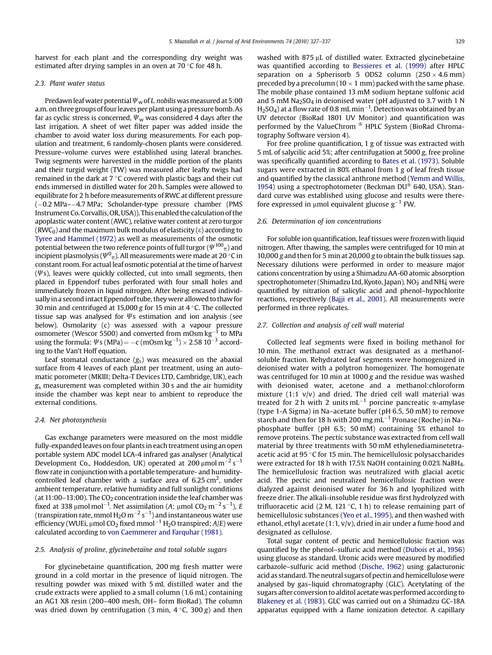harvest for each plant and the corresponding dry weight was estimated after drying samples in an oven at  $70^{\circ}$ C for 48 h.

## 2.3. Plant water status

Predawn leaf water potential  $\Psi_w$  of L. nobilis was measured at 5:00 a.m. on three groups of fourleaves per plant using a pressure bomb. As far as cyclic stress is concerned,  $\Psi_w$  was considered 4 days after the last irrigation. A sheet of wet filter paper was added inside the chamber to avoid water loss during measurements. For each population and treatment, 6 randomly-chosen plants were considered. Pressure–volume curves were established using lateral branches. Twig segments were harvested in the middle portion of the plants and their turgid weight (TW) was measured after leafty twigs had remained in the dark at  $7 \degree C$  covered with plastic bags and their cut ends immersed in distilled water for 20 h. Samples were allowed to equilibrate for 2 h before measurements of RWC at different pressure  $(-0.2 \text{ MPa}$ - $-4.7 \text{ MPa}$ ; Scholander-type pressure chamber (PMS) Instrument Co. Corvallis, OR, USA)). This enabled the calculation of the apoplastic water content (AWC), relative water content at zero turgor (RWC<sub>0</sub>) and the maximum bulk modulus of elasticity ( $\epsilon$ ) according to [Tyree and Hammel \(1972\)](#page-10-0) as well as measurements of the osmotic potential between the two reference points of full turgor  $(\Psi^{100}_{\pi})$  and incipient plasmolysis ( $\varPsi^0_{\,\pi}$ ). All measurements were made at 20 °C in constant room. For actual leaf osmotic potential at the time of harvest  $(\Psi s)$ , leaves were quickly collected, cut into small segments, then placed in Eppendorf tubes perforated with four small holes and immediately frozen in liquid nitrogen. After being encased individually in a second intact Eppendorf tube, they were allowed to thaw for 30 min and centrifuged at 15,000 g for 15 min at  $4^{\circ}$ C. The collected tissue sap was analysed for  $\psi$ s estimation and ion analysis (see below). Osmolarity (c) was assessed with a vapour pressure osmometer (Wescor 5500) and converted from mOsm  $kg^{-1}$  to MPa using the formula:  $\operatorname{\Psi s}$  (MPa) = –c (mOsm kg $^{-1})$   $\times$  2.58 10 $^{-3}$  according to the Van't Hoff equation.

Leaf stomatal conductance  $(g_s)$  was measured on the abaxial surface from 4 leaves of each plant per treatment, using an automatic porometer (MKIII; Delta-T Devices LTD, Cambridge, UK), each g<sup>s</sup> measurement was completed within 30 s and the air humidity inside the chamber was kept near to ambient to reproduce the external conditions.

#### 2.4. Net photosynthesis

Gas exchange parameters were measured on the most middle fully-expanded leaves on four plants in each treatment using an open portable system ADC model LCA-4 infrared gas analyser (Analytical Development Co., Hoddesdon, UK) operated at 200  $\mu$ mol $\,{{\rm m}}^{-2}\,{{\rm s}}^{-1}$ flow rate in conjunction with a portable temperature- and humiditycontrolled leaf chamber with a surface area of 6.25 cm<sup>2</sup>, under ambient temperature, relative humidity and full sunlight conditions (at  $11:00-13:00$ ). The CO<sub>2</sub> concentration inside the leaf chamber was fixed at 338  $\mu$ mol mol $^{-1}$ . Net assimilation (A;  $\mu$ mol CO $_2$  m $^{-2}$  s $^{-1}$ ), E (transpiration rate, mmol H $_2$ O m $^{-2}$  s $^{-1}$ ) and instantaneous water use efficiency (WUEi,  $\mu$ mol CO<sub>2</sub> fixed mmol<sup>-1</sup> H<sub>2</sub>O transpired; A/E) were calculated according to [von Caemmerer and Farquhar \(1981\)](#page-10-0).

#### 2.5. Analysis of proline, glycinebetaïne and total soluble sugars

For glycinebetaine quantification, 200 mg fresh matter were ground in a cold mortar in the presence of liquid nitrogen. The resulting powder was mixed with 5 mL distilled water and the crude extracts were applied to a small column (1.6 mL) containing an AG1 X8 resin (200–400 mesh, OH– form BioRad). The column was dried down by centrifugation (3 min,  $4\degree C$ , 300 g) and then

washed with 875 µL of distilled water. Extracted glycinebetaine was quantified according to [Bessieres et al. \(1999\)](#page-9-0) after HPLC separation on a Spherisorb 5 ODS2 column  $(250 \times 4.6 \text{ mm})$ preceded by a precolumn ( $10 \times 1$  mm) packed with the same phase. The mobile phase contained 13 mM sodium heptane sulfonic acid and 5 mM Na<sub>2</sub>SO<sub>4</sub> in deionised water (pH adjusted to 3.7 with 1 N  $\rm H_2SO_4$ ) at a flow rate of 0.8 mL min $^{-1}$ . Detection was obtained by an UV detector (BioRad 1801 UV Monitor) and quantification was performed by the ValueChrom <sup>®</sup> HPLC System (BioRad Chromatography Software version 4).

For free proline quantification, 1 g of tissue was extracted with 5 mL of salycilic acid 5%; after centrifugation at 5000 g, free proline was specifically quantified according to [Bates et al. \(1973\)](#page-9-0). Soluble sugars were extracted in 80% ethanol from 1 g of leaf fresh tissue and quantified by the classical anthrone method ([Yemm and Willis,](#page-10-0) [1954\)](#page-10-0) using a spectrophotometer (Beckman DU $^{\circ}$  640, USA). Standard curve was established using glucose and results were therefore expressed in µmol equivalent glucose  $g^{-1}$  FW.

## 2.6. Determination of ion concentrations

For soluble ion quantification, leaf tissues were frozen with liquid nitrogen. After thawing, the samples were centrifuged for 10 min at 10,000 g and then for 5 min at 20,000 g to obtain the bulk tissues sap. Necessary dilutions were performed in order to measure major cations concentration by using a Shimadzu AA-60 atomic absorption spectrophotometer (Shimadzu Ltd, Kyoto, Japan).  $\mathrm{NO_3^-}$  and  $\mathrm{NH_4^+}$  were quantified by nitration of salicylic acid and phenol–hypochlorite reactions, respectively [\(Bajji et al., 2001\)](#page-9-0). All measurements were performed in three replicates.

## 2.7. Collection and analysis of cell wall material

Collected leaf segments were fixed in boiling methanol for 10 min. The methanol extract was designated as a methanolsoluble fraction. Rehydrated leaf segments were homogenized in deionised water with a polytron homogenizer. The homogenate was centrifuged for 10 min at 1000 g and the residue was washed with deionised water, acetone and a methanol:chloroform mixture (1:1  $v/v$ ) and dried. The dried cell wall material was treated for 2 h with 2 units  $mL^{-1}$  porcine pancreatic  $\alpha$ -amylase (type 1-A Sigma) in Na–acetate buffer (pH 6.5, 50 mM) to remove starch and then for 18 h with 200 mg mL $^{-1}$  Pronase (Roche) in Na– phosphate buffer (pH 6.5; 50 mM) containing 5% ethanol to remove proteins. The pectic substance was extracted from cell wall material by three treatments with 50 mM ethylenediaminetetraacetic acid at 95 °C for 15 min. The hemicellulosic polysaccharides were extracted for 18 h with 17.5% NaOH containing 0.02% NaBH4. The hemicellulosic fraction was neutralized with glacial acetic acid. The pectic and neutralized hemicellulosic fraction were dialyzed against deionised water for 36 h and lyophilized with freeze drier. The alkali-insoluble residue was first hydrolyzed with trifluoracetic acid  $(2 M, 121 \degree C, 1 h)$  to release remaining part of hemicellulosic substances [\(Yeo et al., 1995](#page-10-0)), and then washed with ethanol, ethyl acetate  $(1:1, v/v)$ , dried in air under a fume hood and designated as cellulose.

Total sugar content of pectic and hemicellulosic fraction was quantified by the phenol–sulfuric acid method [\(Dubois et al., 1956\)](#page-9-0) using glucose as standard. Uronic acids were measured by modified carbazole–sulfuric acid method [\(Dische, 1962](#page-9-0)) using galacturonic acid as standard. The neutral sugars of pectin and hemicellulose were analysed by gas–liquid chromatography (GLC). Acetylating of the sugars after conversion to alditol acetate was performed according to [Blakeney et al. \(1983\).](#page-9-0) GLC was carried out on a Shimadzu GC-18A apparatus equipped with a flame ionization detector. A capillary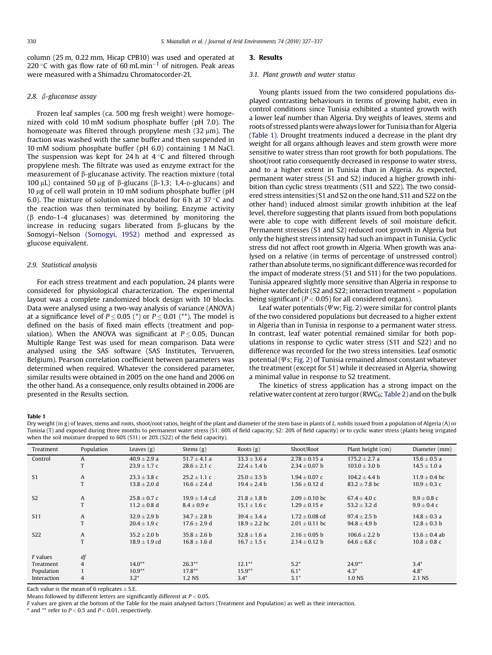column (25 m, 0.22 mm, Hicap CPB10) was used and operated at 220 °C with gas flow rate of 60 mL $\,$ min $^{-1}$  of nitrogen. Peak areas were measured with a Shimadzu Chromatocorder-21.

# 2.8.  $\beta$ -glucanase assay

Frozen leaf samples (ca. 500 mg fresh weight) were homogenized with cold 10 mM sodium phosphate buffer (pH 7.0). The homogenate was filtered through propylene mesh (32  $\mu$ m). The fraction was washed with the same buffer and then suspended in 10 mM sodium phosphate buffer (pH 6.0) containing 1 M NaCl. The suspension was kept for 24 h at  $4\degree$ C and filtered through propylene mesh. The filtrate was used as enzyme extract for the measurement of  $\beta$ -glucanase activity. The reaction mixture (total 100  $\mu$ L) contained 50  $\mu$ g of  $\beta$ -glucans ( $\beta$ -1,3; 1,4-p-glucans) and  $10 \mu$ g of cell wall protein in 10 mM sodium phosphate buffer (pH 6.0). The mixture of solution was incubated for  $6 h$  at 37  $\degree$ C and the reaction was then terminated by boiling. Enzyme activity ( $\beta$  endo-1-4 glucanases) was determined by monitoring the increase in reducing sugars liberated from  $\beta$ -glucans by the Somogyi–Nelson [\(Somogyi, 1952\)](#page-10-0) method and expressed as glucose equivalent.

## 2.9. Statistical analysis

For each stress treatment and each population, 24 plants were considered for physiological characterization. The experimental layout was a complete randomized block design with 10 blocks. Data were analysed using a two-way analysis of variance (ANOVA) at a significance level of  $P \le 0.05$  (\*) or  $P \le 0.01$  (\*\*). The model is defined on the basis of fixed main effects (treatment and population). When the ANOVA was significant at  $P < 0.05$ , Duncan Multiple Range Test was used for mean comparison. Data were analysed using the SAS software (SAS Institutes, Tervueren, Belgium). Pearson correlation coefficient between parameters was determined when required. Whatever the considered parameter, similar results were obtained in 2005 on the one hand and 2006 on the other hand. As a consequence, only results obtained in 2006 are presented in the Results section.

#### 3. Results

## 3.1. Plant growth and water status

Young plants issued from the two considered populations displayed contrasting behaviours in terms of growing habit, even in control conditions since Tunisia exhibited a stunted growth with a lower leaf number than Algeria. Dry weights of leaves, stems and roots of stressed plants were always lower for Tunisia than for Algeria (Table 1). Drought treatments induced a decrease in the plant dry weight for all organs although leaves and stem growth were more sensitive to water stress than root growth for both populations. The shoot/root ratio consequently decreased in response to water stress, and to a higher extent in Tunisia than in Algeria. As expected, permanent water stress (S1 and S2) induced a higher growth inhibition than cyclic stress treatments (S11 and S22). The two considered stress intensities (S1 and S2 on the one hand, S11 and S22 on the other hand) induced almost similar growth inhibition at the leaf level, therefore suggesting that plants issued from both populations were able to cope with different levels of soil moisture deficit. Permanent stresses (S1 and S2) reduced root growth in Algeria but only the highest stress intensity had such an impact in Tunisia. Cyclic stress did not affect root growth in Algeria. When growth was analysed on a relative (in terms of percentage of unstressed control) rather than absolute terms, no significant difference was recorded for the impact of moderate stress (S1 and S11) for the two populations. Tunisia appeared slightly more sensitive than Algeria in response to higher water deficit (S2 and S22; interaction treatment  $\times$  population being significant ( $P < 0.05$ ) for all considered organs).

Leaf water potentials ( $\psi$ w; [Fig. 2](#page-4-0)) were similar for control plants of the two considered populations but decreased to a higher extent in Algeria than in Tunisia in response to a permanent water stress. In contrast, leaf water potential remained similar for both populations in response to cyclic water stress (S11 and S22) and no difference was recorded for the two stress intensities. Leaf osmotic potential ( $\psi$ s; [Fig. 2](#page-4-0)) of Tunisia remained almost constant whatever the treatment (except for S1) while it decreased in Algeria, showing a minimal value in response to S2 treatment.

The kinetics of stress application has a strong impact on the relative water content at zero turgor ( $RWC_0$ ; [Table 2](#page-4-0)) and on the bulk

#### Table 1

Dry weight (in g) of leaves, stems and roots, shoot/root ratios, height of the plant and diameter of the stem base in plants of L. nobilis issued from a population of Algeria (A) or Tunisia (T) and exposed during three months to permanent water stress (S1: 60% of field capacity; S2: 20% of field capacity) or to cyclic water stress (plants being irrigated when the soil moisture dropped to 60% (S11) or 20% (S22) of the field capacity).

| . .             |                |                   |                    |                   |                    |                   |                   |
|-----------------|----------------|-------------------|--------------------|-------------------|--------------------|-------------------|-------------------|
| Treatment       | Population     | Leaves $(g)$      | Stems $(g)$        | Roots $(g)$       | Shoot/Root         | Plant height (cm) | Diameter (mm)     |
| Control         | A              | $40.9 \pm 2.9 a$  | $51.7 \pm 4.1$ a   | $33.3 \pm 3.6$ a  | $2.78 \pm 0.15$ a  | $175.2 \pm 2.7$ a | $15.6 \pm 0.5$ a  |
|                 |                | $23.9 \pm 1.7$ c  | $28.6 \pm 2.1$ c   | $22.4 \pm 1.4 b$  | $2.34 \pm 0.07$ b  | $103.0 \pm 3.0$ b | $14.5 \pm 1.0 a$  |
| S <sub>1</sub>  | A              | $23.3 \pm 3.8$ c  | $25.2 \pm 1.1$ c   | $25.0 \pm 3.5$ b  | $1.94 \pm 0.07$ c  | $104.2 \pm 4.4$ b | $11.9 \pm 0.4$ bc |
|                 | T              | $13.8 \pm 2.0$ d  | $16.6 \pm 2.4$ d   | $19.4 \pm 2.4$ b  | $1.56 \pm 0.12$ d  | $83.2 \pm 7.8$ bc | $10.9 \pm 0.3$ c  |
| S <sub>2</sub>  | $\overline{A}$ | $25.8 \pm 0.7$ c  | $19.9 \pm 1.4$ c.d | $21.8 \pm 1.8$ b  | $2.09 \pm 0.10$ bc | $67.4 \pm 4.0$ c  | $9.9 \pm 0.8$ c   |
|                 | T              | $11.2 \pm 0.8$ d  | $8.4 \pm 0.9$ e    | $15.1 \pm 1.6$ c  | $1.29 \pm 0.15$ e  | $53.2 \pm 3.2$ d  | $9.9 \pm 0.4$ c   |
| S <sub>11</sub> | A              | $32.9 \pm 2.9 b$  | $34.7 \pm 2.8$ b   | $39.4 \pm 3.4 a$  | $1.72 \pm 0.08$ cd | $97.4 \pm 2.5$ b  | $14.8 \pm 0.3$ a  |
|                 | T              | $20.4 \pm 1.9$ c  | $17.6 \pm 2.9$ d   | $18.9 \pm 2.2$ bc | $2.01 \pm 0.11$ bc | $94.8 \pm 4.9$ b  | $12.8 \pm 0.3$ b  |
| S <sub>22</sub> | A              | $35.2 \pm 2.0$ b  | $35.8 \pm 2.6$ b   | $32.8 \pm 1.6$ a  | $2.16 \pm 0.05$ b  | $106.6 \pm 2.2 b$ | $13.6 \pm 0.4$ ab |
|                 | T              | $18.9 \pm 1.9$ cd | $16.8 \pm 1.6$ d   | $16.7 \pm 1.5$ c  | $2.14 \pm 0.12$ b  | $64.6 \pm 6.8$ c  | $10.8 \pm 0.8$ c  |
| F values        | df             |                   |                    |                   |                    |                   |                   |
| Treatment       | $\overline{4}$ | $14.0**$          | $26.3***$          | $12.1***$         | $5.2*$             | $24.9**$          | $3.4*$            |
| Population      |                | $10.9**$          | $17.8***$          | $15.9**$          | $6.1*$             | $4.3*$            | $4.8*$            |
| Interaction     | $\overline{4}$ | $3.2*$            | 1.2 NS             | $3.4*$            | $3.1*$             | 1.0 NS            | 2.1 NS            |
|                 |                |                   |                    |                   |                    |                   |                   |

Each value is the mean of 6 replicates  $\pm$  S.E.

Means followed by different letters are significantly different at  $P < 0.05$ .

F values are given at the bottom of the Table for the main analysed factors (Treatment and Population) as well as their interaction.

\* and \*\* refer to  $P < 0.5$  and  $P < 0.01$ , respectively.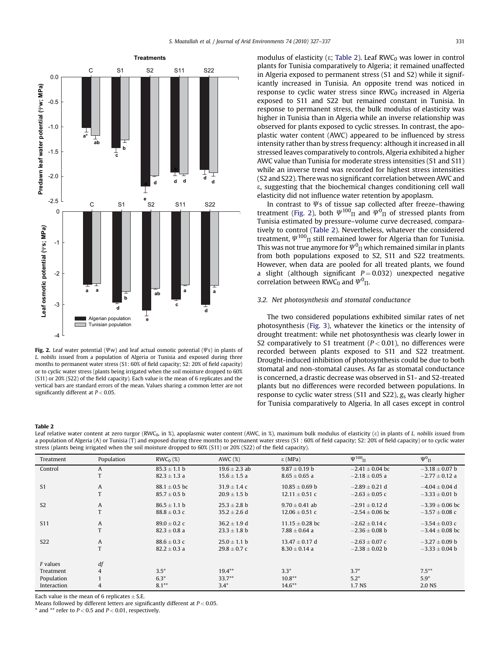<span id="page-4-0"></span>

Fig. 2. Leaf water potential  $(\Psi w)$  and leaf actual osmotic potential  $(\Psi s)$  in plants of L. nobilis issued from a population of Algeria or Tunisia and exposed during three months to permanent water stress (S1: 60% of field capacity; S2: 20% of field capacity) or to cyclic water stress (plants being irrigated when the soil moisture dropped to 60% (S11) or 20% (S22) of the field capacity). Each value is the mean of 6 replicates and the vertical bars are standard errors of the mean. Values sharing a common letter are not significantly different at  $P < 0.05$ .

modulus of elasticity ( $\varepsilon$ ; Table 2). Leaf RWC<sub>0</sub> was lower in control plants for Tunisia comparatively to Algeria; it remained unaffected in Algeria exposed to permanent stress (S1 and S2) while it significantly increased in Tunisia. An opposite trend was noticed in response to cyclic water stress since  $RWC<sub>0</sub>$  increased in Algeria exposed to S11 and S22 but remained constant in Tunisia. In response to permanent stress, the bulk modulus of elasticity was higher in Tunisia than in Algeria while an inverse relationship was observed for plants exposed to cyclic stresses. In contrast, the apoplastic water content (AWC) appeared to be influenced by stress intensity rather than by stress frequency: although it increased in all stressed leaves comparatively to controls, Algeria exhibited a higher AWC value than Tunisia for moderate stress intensities (S1 and S11) while an inverse trend was recorded for highest stress intensities (S2 and S22). There was no significant correlation between AWC and  $\epsilon$ , suggesting that the biochemical changes conditioning cell wall elasticity did not influence water retention by apoplasm.

In contrast to  $\psi$ s of tissue sap collected after freeze-thawing treatment (Fig. 2), both  $\Psi^{100}{}_{\Pi}$  and  $\Psi^{0}{}_{\Pi}$  of stressed plants from Tunisia estimated by pressure–volume curve decreased, comparatively to control (Table 2). Nevertheless, whatever the considered treatment,  $\Psi^{100}$  still remained lower for Algeria than for Tunisia. This was not true anymore for  $\varPsi^0\mathrm{_{II}}$  which remained similar in plants from both populations exposed to S2, S11 and S22 treatments. However, when data are pooled for all treated plants, we found a slight (although significant  $P = 0.032$ ) unexpected negative correlation between RWC<sub>0</sub> and  $\Psi^0_{\Pi}$ .

## 3.2. Net photosynthesis and stomatal conductance

The two considered populations exhibited similar rates of net photosynthesis [\(Fig. 3](#page-5-0)), whatever the kinetics or the intensity of drought treatment: while net photosynthesis was clearly lower in S2 comparatively to S1 treatment ( $P < 0.01$ ), no differences were recorded between plants exposed to S11 and S22 treatment. Drought-induced inhibition of photosynthesis could be due to both stomatal and non-stomatal causes. As far as stomatal conductance is concerned, a drastic decrease was observed in S1- and S2-treated plants but no differences were recorded between populations. In response to cyclic water stress (S11 and S22),  $g_s$  was clearly higher for Tunisia comparatively to Algeria. In all cases except in control

## Table 2

Leaf relative water content at zero turgor (RWC<sub>0</sub>, in %), apoplasmic water content (AWC, in %), maximum bulk modulus of elasticity ( $\varepsilon$ ) in plants of L. nobilis issued from a population of Algeria (A) or Tunisia (T) and exposed during three months to permanent water stress (S1 : 60% of field capacity; S2: 20% of field capacity) or to cyclic water stress (plants being irrigated when the soil moisture dropped to 60% (S11) or 20% (S22) of the field capacity).

| Treatment       | Population   | $RWC_0$ (%)       | AWC $(%)$         | $\epsilon$ (MPa)    | $\Psi^{100}$        | $\Psi^0$ <sub>II</sub> |  |
|-----------------|--------------|-------------------|-------------------|---------------------|---------------------|------------------------|--|
| Control         | A            | $85.3 \pm 1.1$ b  | $19.6 \pm 2.3$ ab | $9.87 \pm 0.19$ b   | $-2.41 \pm 0.04$ bc | $-3.18 \pm 0.07$ b     |  |
|                 |              | $82.3 \pm 1.3 a$  | $15.6 \pm 1.5$ a  | $8.65 \pm 0.65$ a   | $-2.18 \pm 0.05$ a  | $-2.77 \pm 0.12$ a     |  |
| S <sub>1</sub>  | A            | $88.1 \pm 0.5$ bc | $31.9 \pm 1.4$ c  | $10.85 + 0.69$ b    | $-2.89 \pm 0.21$ d  | $-4.04 \pm 0.04$ d     |  |
|                 | T            | $85.7 \pm 0.5$ b  | $20.9 \pm 1.5$ b  | $12.11 \pm 0.51$ c  | $-2.63 \pm 0.05$ c  | $-3.33 \pm 0.01$ b     |  |
| S <sub>2</sub>  | A            | $86.5 \pm 1.1$ b  | $25.3 \pm 2.8$ b  | $9.70 \pm 0.41$ ab  | $-2.91 \pm 0.12$ d  | $-3.39 \pm 0.06$ bc    |  |
|                 | T            | $88.8 \pm 0.3$ c  | $35.2 \pm 2.6$ d  | $12.06 \pm 0.51$ c  | $-2.54 \pm 0.06$ bc | $-3.57 \pm 0.08$ c     |  |
| S <sub>11</sub> | A            | $89.0 \pm 0.2$ c  | $36.2 + 1.9$ d    | $11.15 \pm 0.28$ bc | $-2.62 + 0.14$ c    | $-3.54 \pm 0.03$ c     |  |
|                 | T            | $82.3 \pm 0.8$ a  | $23.3 \pm 1.8$ b  | $7.88 \pm 0.64$ a   | $-2.36 \pm 0.08$ b  | $-3.44 \pm 0.08$ bc    |  |
| S <sub>22</sub> | $\mathsf{A}$ | $88.6 \pm 0.3$ c  | $25.0 \pm 1.1$ b  | $13.47 \pm 0.17$ d  | $-2.63 \pm 0.07$ c  | $-3.27 \pm 0.09$ b     |  |
|                 | T            | $82.2 \pm 0.3$ a  | $29.8 \pm 0.7$ c  | $8.30 \pm 0.14$ a   | $-2.38 \pm 0.02$ b  | $-3.33 \pm 0.04$ b     |  |
| F values        | df           |                   |                   |                     |                     |                        |  |
| Treatment       | 4            | $3.5*$            | $19.4***$         | $3.3*$              | $3.7*$              | $7.5***$               |  |
|                 |              |                   |                   |                     |                     |                        |  |
| Population      |              | $6.3*$            | $33.7**$          | $10.8***$           | $5.2*$              | $5.9*$                 |  |
| Interaction     | 4            | $8.1***$          | $3.4*$            | $14.6***$           | 1.7 NS              | 2.0 NS                 |  |

Each value is the mean of 6 replicates  $\pm$  S.E.

Means followed by different letters are significantly different at  $P < 0.05$ .

 $*$  and  $**$  refer to  $P < 0.5$  and  $P < 0.01$ , respectively.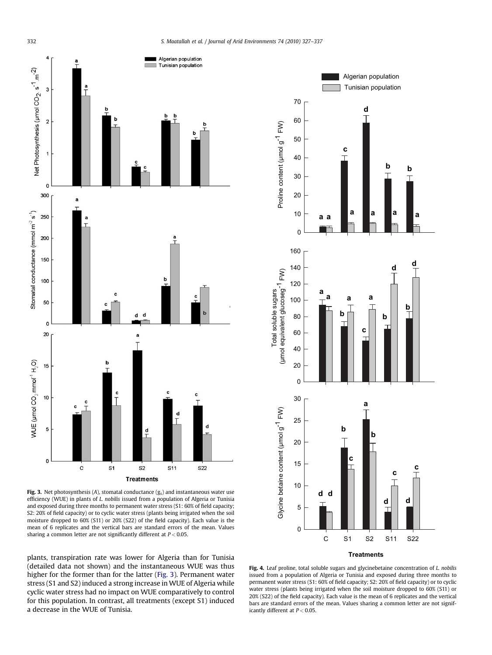<span id="page-5-0"></span>

Fig. 3. Net photosynthesis (A), stomatal conductance  $(g_s)$  and instantaneous water use efficiency (WUE) in plants of L. nobilis issued from a population of Algeria or Tunisia and exposed during three months to permanent water stress (S1: 60% of field capacity; S2: 20% of field capacity) or to cyclic water stress (plants being irrigated when the soil moisture dropped to 60% (S11) or 20% (S22) of the field capacity). Each value is the mean of 6 replicates and the vertical bars are standard errors of the mean. Values sharing a common letter are not significantly different at  $P < 0.05$ .

plants, transpiration rate was lower for Algeria than for Tunisia (detailed data not shown) and the instantaneous WUE was thus higher for the former than for the latter (Fig. 3). Permanent water stress (S1 and S2) induced a strong increase in WUE of Algeria while cyclic water stress had no impact on WUE comparatively to control for this population. In contrast, all treatments (except S1) induced a decrease in the WUE of Tunisia.



Fig. 4. Leaf proline, total soluble sugars and glycinebetaine concentration of L. nobilis issued from a population of Algeria or Tunisia and exposed during three months to permanent water stress (S1: 60% of field capacity; S2: 20% of field capacity) or to cyclic water stress (plants being irrigated when the soil moisture dropped to 60% (S11) or 20% (S22) of the field capacity). Each value is the mean of 6 replicates and the vertical bars are standard errors of the mean. Values sharing a common letter are not significantly different at  $P < 0.05$ .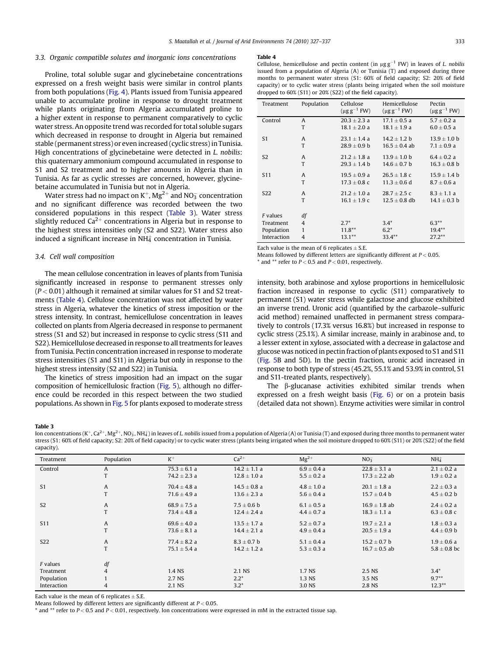## <span id="page-6-0"></span>3.3. Organic compatible solutes and inorganic ions concentrations

Proline, total soluble sugar and glycinebetaine concentrations expressed on a fresh weight basis were similar in control plants from both populations ([Fig. 4\)](#page-5-0). Plants issued from Tunisia appeared unable to accumulate proline in response to drought treatment while plants originating from Algeria accumulated proline to a higher extent in response to permanent comparatively to cyclic water stress. An opposite trend was recorded for total soluble sugars which decreased in response to drought in Algeria but remained stable (permanent stress) or even increased (cyclic stress) in Tunisia. High concentrations of glycinebetaine were detected in L. nobilis: this quaternary ammonium compound accumulated in response to S1 and S2 treatment and to higher amounts in Algeria than in Tunisia. As far as cyclic stresses are concerned, however, glycinebetaine accumulated in Tunisia but not in Algeria.

Water stress had no impact on K $^+$ , Mg $^{2+}$  and NO $_3^-$  concentration and no significant difference was recorded between the two considered populations in this respect (Table 3). Water stress slightly reduced  $Ca^{2+}$  concentrations in Algeria but in response to the highest stress intensities only (S2 and S22). Water stress also induced a significant increase in NH $_4^+$  concentration in Tunisia.

#### 3.4. Cell wall composition

The mean cellulose concentration in leaves of plants from Tunisia significantly increased in response to permanent stresses only  $(P < 0.01)$  although it remained at similar values for S1 and S2 treatments (Table 4). Cellulose concentration was not affected by water stress in Algeria, whatever the kinetics of stress imposition or the stress intensity. In contrast, hemicellulose concentration in leaves collected on plants from Algeria decreased in response to permanent stress (S1 and S2) but increased in response to cyclic stress (S11 and S22). Hemicellulose decreased in response to all treatments for leaves from Tunisia. Pectin concentration increased in response to moderate stress intensities (S1 and S11) in Algeria but only in response to the highest stress intensity (S2 and S22) in Tunisia.

The kinetics of stress imposition had an impact on the sugar composition of hemicellulosic fraction [\(Fig. 5\)](#page-7-0), although no difference could be recorded in this respect between the two studied populations. As shown in [Fig. 5](#page-7-0) for plants exposed to moderate stress

#### Table 4

| Treatment                                          | Population                   | Cellulose<br>$(\mu$ g g <sup>-1</sup> FW) | Hemicellulose<br>$(\mu$ g g <sup>-1</sup> FW) | Pectin<br>$(\mu$ g g <sup>-1</sup> FW) |
|----------------------------------------------------|------------------------------|-------------------------------------------|-----------------------------------------------|----------------------------------------|
| Control                                            | $\mathsf{A}$                 | $20.3 \pm 2.3$ a                          | $17.1 \pm 0.5$ a                              | $5.7 \pm 0.2$ a                        |
|                                                    | T                            | $18.1 \pm 2.0$ a                          | $18.1 \pm 1.9$ a                              | $6.0 \pm 0.5$ a                        |
| S <sub>1</sub>                                     | A                            | $23.1 \pm 1.4$ a                          | $14.2 \pm 1.2 b$                              | $13.9 \pm 1.0$ b                       |
|                                                    | T                            | $28.9 + 0.9 h$                            | $16.5 + 0.4$ ab                               | $7.1 \pm 0.9$ a                        |
| S <sub>2</sub>                                     | $\mathsf{A}$                 | $21.2 \pm 1.8$ a                          | $13.9 \pm 1.0$ b                              | $6.4 \pm 0.2$ a                        |
|                                                    | T                            | $29.3 \pm 1.4$ b                          | $14.6 \pm 0.7$ b                              | $16.3 \pm 0.8$ b                       |
| S <sub>11</sub>                                    | A                            | $19.5 \pm 0.9$ a                          | $26.5 \pm 1.8$ c                              | $15.9 \pm 1.4$ b                       |
|                                                    | T                            | $17.3 \pm 0.8$ c                          | $11.3 \pm 0.6$ d                              | $8.7 \pm 0.6$ a                        |
| S <sub>22</sub>                                    | $\mathsf{A}$                 | $21.2 \pm 1.0$ a                          | $28.7 \pm 2.5$ c                              | $8.3 \pm 1.1 a$                        |
|                                                    | T                            | $16.1 \pm 1.9$ c                          | $12.5 \pm 0.8$ db                             | $14.1 \pm 0.3$ b                       |
| F values<br>Treatment<br>Population<br>Interaction | df<br>4<br>$\mathbf{1}$<br>4 | $2.7*$<br>$11.8***$<br>$13.1***$          | $3.4*$<br>$6.2*$<br>$33.4**$                  | $6.3***$<br>$19.4***$<br>$27.2***$     |

Each value is the mean of 6 replicates  $\pm$  S.E.

Means followed by different letters are significantly different at  $P < 0.05$ .

 $*$  and  $**$  refer to  $P < 0.5$  and  $P < 0.01$ , respectively.

intensity, both arabinose and xylose proportions in hemicellulosic fraction increased in response to cyclic (S11) comparatively to permanent (S1) water stress while galactose and glucose exhibited an inverse trend. Uronic acid (quantified by the carbazole–sulfuric acid method) remained unaffected in permanent stress comparatively to controls (17.3% versus 16.8%) but increased in response to cyclic stress (25.1%). A similar increase, mainly in arabinose and, to a lesser extent in xylose, associated with a decrease in galactose and glucose was noticed in pectin fraction of plants exposed to S1 and S11 [\(Fig. 5B](#page-7-0) and 5D). In the pectin fraction, uronic acid increased in response to both type of stress (45.2%, 55.1% and 53.9% in control, S1 and S11-treated plants, respectively).

The  $\beta$ -glucanase activities exhibited similar trends when expressed on a fresh weight basis ([Fig. 6\)](#page-7-0) or on a protein basis (detailed data not shown). Enzyme activities were similar in control

#### Table 3

Ion concentrations (K<sup>+</sup>, Ca<sup>2+</sup>, Mg<sup>2+</sup>, NO<sub>3</sub>, NH $_4^+$ ) in leaves of *L. nobilis* issued from a population of Algeria (A) or Tunisia (T) and exposed during three months to permanent water stress (S1: 60% of field capacity; S2: 20% of field capacity) or to cyclic water stress (plants being irrigated when the soil moisture dropped to 60% (S11) or 20% (S22) of the field capacity).

| Treatment       | Population     | $K^+$            | $Ca2+$           | $Mg^{2+}$       | NO <sub>3</sub>   | $NH_{4}^{+}$     |
|-----------------|----------------|------------------|------------------|-----------------|-------------------|------------------|
| Control         | A              | $75.3 \pm 6.1$ a | $14.2 \pm 1.1 a$ | $6.9 \pm 0.4$ a | $22.8 \pm 3.1$ a  | $2.1 \pm 0.2$ a  |
|                 | T              | $74.2 \pm 2.3$ a | $12.8 \pm 1.0$ a | $5.5 \pm 0.2$ a | $17.3 \pm 2.2$ ab | $1.9 \pm 0.2$ a  |
| S <sub>1</sub>  | $\mathsf{A}$   | $70.4 \pm 4.8$ a | $14.5 \pm 0.8$ a | $4.8 \pm 1.0 a$ | $20.1 \pm 1.8$ a  | $2.2 \pm 0.3$ a  |
|                 | T              | $71.6 \pm 4.9 a$ | $13.6 \pm 2.3 a$ | $5.6 \pm 0.4$ a | $15.7 \pm 0.4$ b  | $4.5 \pm 0.2$ b  |
| S <sub>2</sub>  | $\mathsf{A}$   | $68.9 \pm 7.5$ a | $7.5 \pm 0.6$ b  | $6.1 \pm 0.5$ a | $16.9 \pm 1.8$ ab | $2.4 \pm 0.2$ a  |
|                 | T              | $73.4 \pm 4.8$ a | $12.4 \pm 2.4$ a | $4.4 \pm 0.7$ a | $18.3 \pm 1.1 a$  | $6.3 \pm 0.8$ c  |
| S <sub>11</sub> | $\mathsf{A}$   | $69.6 \pm 4.0 a$ | $13.5 \pm 1.7$ a | $5.2 \pm 0.7$ a | $19.7 \pm 2.1$ a  | $1.8 \pm 0.3$ a  |
|                 | T              | $73.6 \pm 8.1$ a | $14.4 \pm 2.1 a$ | $4.9 \pm 0.4$ a | $20.5 \pm 1.9$ a  | $4.4 \pm 0.9$ b  |
| S <sub>22</sub> | $\mathsf{A}$   | $77.4 \pm 8.2 a$ | $8.3 \pm 0.7$ b  | $5.1 \pm 0.4$ a | $15.2 \pm 0.7$ b  | $1.9 \pm 0.6$ a  |
|                 | T              | $75.1 \pm 5.4 a$ | $14.2 \pm 1.2$ a | $5.3 \pm 0.3$ a | $16.7 \pm 0.5$ ab | $5.8 \pm 0.8$ bc |
| F values        | $d\!f$         |                  |                  |                 |                   |                  |
|                 |                |                  |                  |                 |                   |                  |
| Treatment       | $\overline{4}$ | 1.4 NS           | 2.1 NS           | 1.7 NS          | 2.5 NS            | $3.4*$           |
| Population      | $\mathbf{1}$   | 2.7 NS           | $2.2*$           | 1.3 NS          | 3.5 NS            | $9.7**$          |
| Interaction     | 4              | 2.1 NS           | $3.2*$           | 3.0 NS          | 2.8 NS            | $12.3***$        |

Each value is the mean of 6 replicates  $\pm$  S.E.

Means followed by different letters are significantly different at  $P < 0.05$ .

 $^*$  and  $^{**}$  refer to P < 0.5 and P < 0.01, respectively. Ion concentrations were expressed in mM in the extracted tissue sap.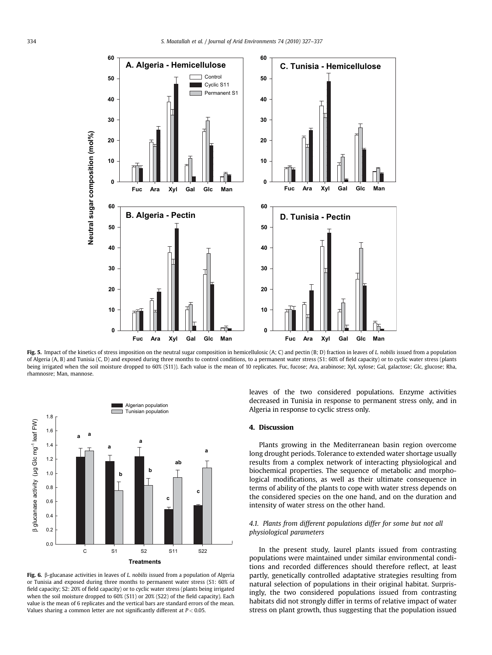<span id="page-7-0"></span>

Fig. 5. Impact of the kinetics of stress imposition on the neutral sugar composition in hemicellulosic (A; C) and pectin (B; D) fraction in leaves of L. nobilis issued from a population of Algeria (A, B) and Tunisia (C, D) and exposed during three months to control conditions, to a permanent water stress (S1: 60% of field capacity) or to cyclic water stress (plants being irrigated when the soil moisture dropped to 60% (S11)). Each value is the mean of 10 replicates. Fuc, fucose; Ara, arabinose; Xyl, xylose; Gal, galactose; Glc, glucose; Rha, rhamnosre; Man, mannose.



Fig. 6.  $\beta$ -glucanase activities in leaves of *L. nobilis* issued from a population of Algeria or Tunisia and exposed during three months to permanent water stress (S1: 60% of field capacity; S2: 20% of field capacity) or to cyclic water stress (plants being irrigated when the soil moisture dropped to 60% (S11) or 20% (S22) of the field capacity). Each value is the mean of 6 replicates and the vertical bars are standard errors of the mean. Values sharing a common letter are not significantly different at  $P < 0.05$ .

leaves of the two considered populations. Enzyme activities decreased in Tunisia in response to permanent stress only, and in Algeria in response to cyclic stress only.

## 4. Discussion

Plants growing in the Mediterranean basin region overcome long drought periods. Tolerance to extended water shortage usually results from a complex network of interacting physiological and biochemical properties. The sequence of metabolic and morphological modifications, as well as their ultimate consequence in terms of ability of the plants to cope with water stress depends on the considered species on the one hand, and on the duration and intensity of water stress on the other hand.

# 4.1. Plants from different populations differ for some but not all physiological parameters

In the present study, laurel plants issued from contrasting populations were maintained under similar environmental conditions and recorded differences should therefore reflect, at least partly, genetically controlled adaptative strategies resulting from natural selection of populations in their original habitat. Surprisingly, the two considered populations issued from contrasting habitats did not strongly differ in terms of relative impact of water stress on plant growth, thus suggesting that the population issued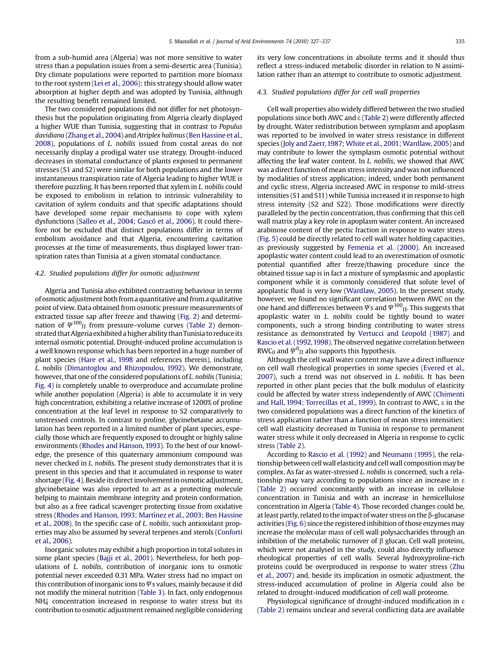from a sub-humid area (Algeria) was not more sensitive to water stress than a population issues from a semi-desertic area (Tunisia). Dry climate populations were reported to partition more biomass to the root system [\(Lei et al., 2006](#page-9-0)): this strategy should allow water absorption at higher depth and was adopted by Tunisia, although the resulting benefit remained limited.

The two considered populations did not differ for net photosynthesis but the population originating from Algeria clearly displayed a higher WUE than Tunisia, suggesting that in contrast to Populus davidiana [\(Zhang et al., 2004](#page-10-0)) and Atriplex halimus ([Ben Hassine et al.,](#page-9-0) [2008\)](#page-9-0), populations of L. nobilis issued from costal areas do not necessarily display a prodigal water use strategy. Drought-induced decreases in stomatal conductance of plants exposed to permanent stresses (S1 and S2) were similar for both populations and the lower instantaneous transpiration rate of Algeria leading to higher WUE is therefore puzzling. It has been reported that xylem in L. nobilis could be exposed to embolism in relation to intrinsic vulnerability to cavitation of xylem conduits and that specific adaptations should have developed some repair mechanisms to cope with xylem dysfunctions (Salleo et al., 2004; Gascó et al., 2006). It could therefore not be excluded that distinct populations differ in terms of embolism avoidance and that Algeria, encountering cavitation processes at the time of measurements, thus displayed lower transpiration rates than Tunisia at a given stomatal conductance.

## 4.2. Studied populations differ for osmotic adjustment

Algeria and Tunisia also exhibited contrasting behaviour in terms of osmotic adjustment both from a quantitative and from a qualitative point of view. Data obtained from osmotic pressure measurements of extracted tissue sap after freeze and thawing [\(Fig. 2](#page-4-0)) and determination of  $\psi^{100}$  from pressure–volume curves [\(Table 2](#page-4-0)) demonstrated that Algeria exhibited a higher ability than Tunisia to reduce its internal osmotic potential. Drought-induced proline accumulation is a well known response which has been reported in a huge number of plant species [\(Hare et al., 1998](#page-9-0) and references therein), including L. nobilis [\(Dimantoglou and Rhizopoulou, 1992](#page-9-0)). We demonstrate, however, that one of the considered populations of L. nobilis (Tunisia; [Fig. 4](#page-5-0)) is completely unable to overproduce and accumulate proline while another population (Algeria) is able to accumulate it in very high concentration, exhibiting a relative increase of 1200% of proline concentration at the leaf level in response to S2 comparatively to unstressed controls. In contrast to proline, glycinebetaine accumulation has been reported in a limited number of plant species, especially those which are frequently exposed to drought or highly saline environments [\(Rhodes and Hanson, 1993](#page-10-0)). To the best of our knowledge, the presence of this quaternary ammonium compound was never checked in L. nobilis. The present study demonstrates that it is present in this species and that it accumulated in response to water shortage ([Fig. 4\)](#page-5-0). Beside its direct involvement in osmotic adjustment, glycinebetaine was also reported to act as a protecting molecule helping to maintain membrane integrity and protein conformation, but also as a free radical scavenger protecting tissue from oxidative stress (Rhodes and Hanson, 1993; Martínez et al., 2003; Ben Hassine [et al., 2008\)](#page-10-0). In the specific case of L. nobilis, such antioxidant properties may also be assumed by several terpenes and sterols [\(Conforti](#page-9-0) [et al., 2006\)](#page-9-0).

Inorganic solutes may exhibit a high proportion in total solutes in some plant species [\(Bajji et al., 2001\)](#page-9-0). Nevertheless, for both populations of L. nobilis, contribution of inorganic ions to osmotic potential never exceeded 0.31 MPa. Water stress had no impact on this contribution of inorganic ions to  $\psi$ s values, mainly because it did not modify the mineral nutrition ([Table 3\)](#page-6-0). In fact, only endogenous  $NH_{4}^+$  concentration increased in response to water stress but its contribution to osmotic adjustment remained negligible considering its very low concentrations in absolute terms and it should thus reflect a stress-induced metabolic disorder in relation to N assimilation rather than an attempt to contribute to osmotic adjustment.

# 4.3. Studied populations differ for cell wall properties

Cell wall properties also widely differed between the two studied populations since both AWC and  $\epsilon$  [\(Table 2](#page-4-0)) were differently affected by drought. Water redistribution between symplasm and apoplasm was reported to be involved in water stress resistance in different species ([Joly and Zaerr, 1987; White et al., 2001; Wardlaw, 2005\)](#page-9-0) and may contribute to lower the symplasm osmotic potential without affecting the leaf water content. In L. nobilis, we showed that AWC was a direct function of mean stress intensity and was not influenced by modalities of stress application; indeed, under both permanent and cyclic stress, Algeria increased AWC in response to mild-stress intensities (S1 and S11) while Tunisia increased it in response to high stress intensity (S2 and S22). Those modifications were directly paralleled by the pectin concentration, thus confirming that this cell wall matrix play a key role in apoplasm water content. An increased arabinose content of the pectic fraction in response to water stress [\(Fig. 5\)](#page-7-0) could be directly related to cell wall water holding capacities, as previously suggested by [Femenia et al. \(2000\)](#page-9-0). An increased apoplastic water content could lead to an overestimation of osmotic potential quantified after freeze/thawing procedure since the obtained tissue sap is in fact a mixture of symplasmic and apoplastic component while it is commonly considered that solute level of apoplastic fluid is very low [\(Wardlaw, 2005\)](#page-10-0). In the present study, however, we found no significant correlation between AWC on the one hand and differences between  $\psi$ s and  $\psi^{100}$ <sub>II</sub>. This suggests that apoplastic water in  $L$ . nobilis could be tightly bound to water components, such a strong binding contributing to water stress resistance as demonstrated by [Vertucci and Leopold \(1987\)](#page-10-0) and Rascio et al. (1992, 1998). The observed negative correlation between RWC<sub>0</sub> and  $\Psi^0$ <sub>II</sub> also supports this hypothesis.

Although the cell wall water content may have a direct influence on cell wall rheological properties in some species ([Evered et al.,](#page-9-0) [2007\)](#page-9-0), such a trend was not observed in L. nobilis. It has been reported in other plant pecies that the bulk modulus of elasticity could be affected by water stress independently of AWC ([Chimenti](#page-9-0) [and Hall, 1994; Torrecillas et al., 1999\)](#page-9-0). In contrast to AWC,  $\varepsilon$  in the two considered populations was a direct function of the kinetics of stress application rather than a function of mean stress intensities: cell wall elasticity decreased in Tunisia in response to permanent water stress while it only decreased in Algeria in response to cyclic stress [\(Table 2](#page-4-0)).

According to [Rascio et al. \(1992\)](#page-10-0) and [Neumann \(1995\)](#page-10-0), the relationship between cell wall elasticity and cell wall composition may be complex. As far as water-stressed L. nobilis is concerned, such a relationship may vary according to populations since an increase in  $\epsilon$ [\(Table 2](#page-4-0)) occurred concomitantly with an increase in cellulose concentration in Tunisia and with an increase in hemicellulose concentration in Algeria [\(Table 4\)](#page-6-0). Those recorded changes could be, at least partly, related to the impact of water stress on the  $\beta$ -glucanase activities ([Fig. 6\)](#page-7-0) since the registered inhibition of those enzymes may increase the molecular mass of cell wall polysaccharides through an inhibition of the metabolic turnover of  $\beta$  glucan. Cell wall proteins, which were not analysed in the study, could also directly influence rheological properties of cell walls. Several hydroxyproline-rich proteins could be overproduced in response to water stress [\(Zhu](#page-10-0) [et al., 2007](#page-10-0)) and, beside its implication in osmotic adjustment, the stress-induced accumulation of proline in Algeria could also be related to drought-induced modification of cell wall proteome.

Physiological significance of drought-induced modification in  $\varepsilon$ ([Table 2](#page-4-0)) remains unclear and several conflicting data are available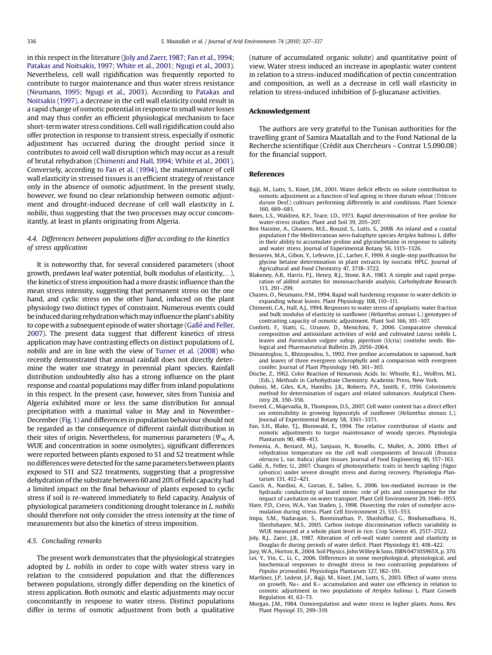<span id="page-9-0"></span>in this respect in the literature (Joly and Zaerr, 1987; Fan et al., 1994; Patakas and Noitsakis, 1997; White et al., 2001; Ngugi et al., 2003). Nevertheless, cell wall rigidification was frequently reported to contribute to turgor maintenance and thus water stress resistance ([Neumann, 1995; Ngugi et al., 2003\)](#page-10-0). According to [Patakas and](#page-10-0) [Noitsakis \(1997\),](#page-10-0) a decrease in the cell wall elasticity could result in a rapid change of osmotic potential in response to small water losses and may thus confer an efficient physiological mechanism to face short-termwater stress conditions. Cell wall rigidification could also offer protection in response to transient stress, especially if osmotic adjustment has occurred during the drought period since it contributes to avoid cell wall disruption which may occur as a result of brutal rehydration (Chimenti and Hall, 1994; White et al., 2001). Conversely, according to Fan et al. (1994), the maintenance of cell wall elasticity in stressed tissues is an efficient strategy of resistance only in the absence of osmotic adjustment. In the present study, however, we found no clear relationship between osmotic adjustment and drought-induced decrease of cell wall elasticity in L. nobilis, thus suggesting that the two processes may occur concomitantly, at least in plants originating from Algeria.

# 4.4. Differences between populations differ according to the kinetics of stress application

It is noteworthy that, for several considered parameters (shoot growth, predawn leaf water potential, bulk modulus of elasticity,...), the kinetics of stress imposition had a more drastic influence than the mean stress intensity, suggesting that permanent stress on the one hand, and cyclic stress on the other hand, induced on the plant physiology two distinct types of constraint. Numerous events could be induced during rehydration which may influence the plant's ability to cope with a subsequent episode of water shortage (Gallé and Feller, 2007). The present data suggest that different kinetics of stress application may have contrasting effects on distinct populations of L. nobilis and are in line with the view of [Turner et al. \(2008\)](#page-10-0) who recently demonstrated that annual rainfall does not directly determine the water use strategy in perennial plant species. Rainfall distribution undoubtedly also has a strong influence on the plant response and coastal populations may differ from inland populations in this respect. In the present case, however, sites from Tunisia and Algeria exhibited more or less the same distribution for annual precipitation with a maximal value in May and in November– December [\(Fig.1](#page-1-0)) and differences in population behaviour should not be regarded as the consequence of different rainfall distribution in their sites of origin. Nevertheless, for numerous parameters ( $\Psi_{w}$ , A, WUE and concentration in some osmolytes), significant differences were reported between plants exposed to S1 and S2 treatment while no differences were detected for the same parameters between plants exposed to S11 and S22 treatments, suggesting that a progressive dehydration of the substrate between 60 and 20% of field capacity had a limited impact on the final behaviour of plants exposed to cyclic stress if soil is re-watered immediately to field capacity. Analysis of physiological parameters conditioning drought tolerance in L. nobilis should therefore not only consider the stress intensity at the time of measurements but also the kinetics of stress imposition.

## 4.5. Concluding remarks

The present work demonstrates that the physiological strategies adopted by L. nobilis in order to cope with water stress vary in relation to the considered population and that the differences between populations, strongly differ depending on the kinetics of stress application. Both osmotic and elastic adjustments may occur concomitantly in response to water stress. Distinct populations differ in terms of osmotic adjustment from both a qualitative (nature of accumulated organic solute) and quantitative point of view. Water stress induced an increase in apoplastic water content in relation to a stress-induced modification of pectin concentration and composition, as well as a decrease in cell wall elasticity in relation to stress-induced inhibition of  $\beta$ -glucanase activities.

## Acknowledgement

The authors are very grateful to the Tunisan authorities for the travelling grant of Samira Maatallah and to the Fond National de la Recherche scientifique (Crédit aux Chercheurs – Contrat 1.5.090.08) for the financial support.

#### References

- Bajji, M., Lutts, S., Kinet, J.M., 2001. Water deficit effects on solute contribution to osmotic adjustment as a function of leaf ageing in three durum wheat (Triticum durum Desf.) cultivars performing differently in arid conditions. Plant Science 160, 669–681.
- Bates, L.S., Waldren, R.P., Teare, I.D., 1973. Rapid determination of free proline for water-stress studies. Plant and Soil 39, 205–207.
- Ben Hassine, A., Ghanem, M.E., Bouzid, S., Lutts, S., 2008. An inland and a coastal population f the Mediterranean xero-halophyte species Atriplex halimus L. differ in their ability to accumulate proline and glycinebetaine in response to salinity and water stress. Journal of Experimental Botany 56, 1315–1326.
- Bessieres, M.A., Gibon, Y., Lefeuvre, J.C., Larher, F., 1999. A single-step purification for glycine betaine determination in plant extracts by isocratic HPLC. Journal of Agricultural and Food Chemistry 47, 3718–3722.
- Blakeney, A.B., Harris, P.J., Henry, R.J., Stone, B.A., 1983. A simple and rapid preparation of alditol acetates for monosaccharide analysis. Carbohydrate Research 113, 291–299.
- Chazen, O., Neumann, P.M., 1994. Rapid wall hardening response to water deficits in expanding wheat leaves. Plant Physiology 108, 110–111.
- Chimenti, C.A., Hall, A.J., 1994. Responses to water stress of apoplastic water fraction and bulk modulus of elasticity in sunflower (Helianthus annuus L.) genotypes of contrasting capacity of osmotic adjustment. Plant Soil 166, 101–107.
- Conforti, F., Statti, G., Uzunov, D., Menichini, F., 2006. Comparative chemical composition and antioxidant activities of wild and cultivated Laurus nobilis L. leaves and Foeniculum vulgare subsp. piperitum (Ucria) coutinho seeds. Biological and Pharmaceutical Bulletin 29, 2056–2064.
- Dimantoglou, S., Rhizopoulou, S., 1992. Free proline accumulation in sapwood, bark and leaves of three evergreen sclerophylls and a comparison with evergreen conifer. Journal of Plant Physiology 140, 361–365.
- Dische, Z., 1962. Color Reaction of Hexuronic Acids. In: Whistle, R.L., Wolfrm, M.L. (Eds.), Methods in Carbohydrate Chemistry. Academic Press, New York.
- Dubois, M., Giles, K.A., Hamilto, J.K., Roberts, P.A., Smith, F., 1956. Colorimetric method for determination of sugars and related substances. Analytical Chemistry 28, 350–356.
- Evered, C., Majevadia, B., Thompson, D.S., 2007. Cell water content has a direct effect on extensibility in growing hypocotyls of sunflower (Helianthus annuus L.). Journal of Experimental Botany 58, 3361–3371.
- Fan, S.H., Blake, T.J., Blumwald, E., 1994. The relative contribution of elastic and osmotic adjustments to turgor maintenance of woody species. Physiologia Plantarum 90, 408–413.
- Femenia, A., Bestard, M.J., Sanjuan, N., Rossello, C., Mullet, A., 2000. Effect of rehydration temperature on the cell wall components of broccoli (Brassica oleracea L. var. Italica) plant tissues. Journal of Food Engineering 46, 157–163.
- Gallé, A., Feller, U., 2007. Changes of photosynthetic traits in beech sapling (Fagus sylvatica) under severe drought stress and during recovery. Physiologia Plantarum 131, 412–421.
- Gascó, A., Nardini, A., Gortan, E., Salleo, S., 2006. Ion-mediated increase in the hydraulic conductivity of laurel stems: role of pits and consequence for the impact of cavitation on water transport. Plant Cell Environment 29, 1946–1955.
- Hare, P.D., Cress, W.A., Van Staden, J., 1998. Dissecting the roles of osmolyte accumulation during stress. Plant Cell Environment 21, 535–553.
- Impa, S.M., Nadarajan, S., Boominathan, P., Shashidhar, G., Bindumadhava, H., Sheshshayee, M.S., 2005. Carbon isotope discrimination reflects variability in WUE measured at a whole plant level in rice. Crop Science 45, 2517–2522.
- Joly, R.J., Zaerr, J.B., 1987. Alteration of cell-wall water content and elasticity in Douglas-fir during periods of water deficit. Plant Physiology 83, 418–422.
- Jury, W.A., Horton, R., 2004. Soil Physics. John Willey & Sons, ISBN 047105965X, p. 370.
- Lei, Y., Yin, C., Li, C., 2006. Differences in some morphological, physiological, and biochemical responses to drought stress in two contrasting populations of Populus przewalskii. Physiologia Plantarum 127, 182–191.
- Martínez, J.P., Ledent, J.F., Bajji, M., Kinet, J.M., Lutts, S., 2003. Effect of water stress on growth, Na+ and K+ accumulation and water use efficiency in relation to osmotic adjustment in two populations of Atriplex halimus L. Plant Growth Regulation 41, 63–73.
- Morgan, J.M., 1984. Osmoregulation and water stress in higher plants. Annu. Rev. Plant Physiopl 35, 299–319.